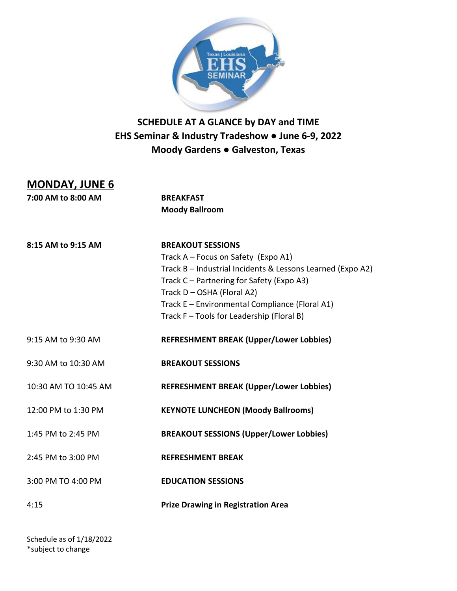

## **SCHEDULE AT A GLANCE by DAY and TIME EHS Seminar & Industry Tradeshow ● June 6-9, 2022 Moody Gardens ● Galveston, Texas**

## **MONDAY, JUNE 6**

**7:00 AM to 8:00 AM BREAKFAST Moody Ballroom 8:15 AM to 9:15 AM BREAKOUT SESSIONS** Track A – Focus on Safety (Expo A1) Track B – Industrial Incidents & Lessons Learned (Expo A2) Track C – Partnering for Safety (Expo A3) Track D – OSHA (Floral A2) Track E – Environmental Compliance (Floral A1) Track F – Tools for Leadership (Floral B) 9:15 AM to 9:30 AM **REFRESHMENT BREAK (Upper/Lower Lobbies)** 9:30 AM to 10:30 AM **BREAKOUT SESSIONS** 10:30 AM TO 10:45 AM **REFRESHMENT BREAK (Upper/Lower Lobbies)** 12:00 PM to 1:30 PM **KEYNOTE LUNCHEON (Moody Ballrooms)** 1:45 PM to 2:45 PM **BREAKOUT SESSIONS (Upper/Lower Lobbies)** 2:45 PM to 3:00 PM **REFRESHMENT BREAK** 3:00 PM TO 4:00 PM **EDUCATION SESSIONS** 4:15 **Prize Drawing in Registration Area**

Schedule as of 1/18/2022 \*subject to change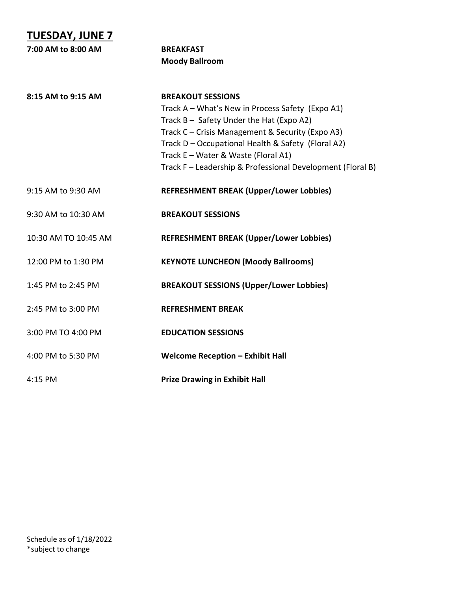| <b>TUESDAY, JUNE 7</b> |                                                                                                                                                                                                                                                                                                                                         |
|------------------------|-----------------------------------------------------------------------------------------------------------------------------------------------------------------------------------------------------------------------------------------------------------------------------------------------------------------------------------------|
| 7:00 AM to 8:00 AM     | <b>BREAKFAST</b>                                                                                                                                                                                                                                                                                                                        |
|                        | <b>Moody Ballroom</b>                                                                                                                                                                                                                                                                                                                   |
| 8:15 AM to 9:15 AM     | <b>BREAKOUT SESSIONS</b><br>Track A - What's New in Process Safety (Expo A1)<br>Track B - Safety Under the Hat (Expo A2)<br>Track C - Crisis Management & Security (Expo A3)<br>Track D - Occupational Health & Safety (Floral A2)<br>Track E - Water & Waste (Floral A1)<br>Track F - Leadership & Professional Development (Floral B) |
| 9:15 AM to 9:30 AM     | <b>REFRESHMENT BREAK (Upper/Lower Lobbies)</b>                                                                                                                                                                                                                                                                                          |
| 9:30 AM to 10:30 AM    | <b>BREAKOUT SESSIONS</b>                                                                                                                                                                                                                                                                                                                |
| 10:30 AM TO 10:45 AM   | <b>REFRESHMENT BREAK (Upper/Lower Lobbies)</b>                                                                                                                                                                                                                                                                                          |
| 12:00 PM to 1:30 PM    | <b>KEYNOTE LUNCHEON (Moody Ballrooms)</b>                                                                                                                                                                                                                                                                                               |
| 1:45 PM to 2:45 PM     | <b>BREAKOUT SESSIONS (Upper/Lower Lobbies)</b>                                                                                                                                                                                                                                                                                          |
| 2:45 PM to 3:00 PM     | <b>REFRESHMENT BREAK</b>                                                                                                                                                                                                                                                                                                                |
| 3:00 PM TO 4:00 PM     | <b>EDUCATION SESSIONS</b>                                                                                                                                                                                                                                                                                                               |
| 4:00 PM to 5:30 PM     | <b>Welcome Reception - Exhibit Hall</b>                                                                                                                                                                                                                                                                                                 |
| 4:15 PM                | <b>Prize Drawing in Exhibit Hall</b>                                                                                                                                                                                                                                                                                                    |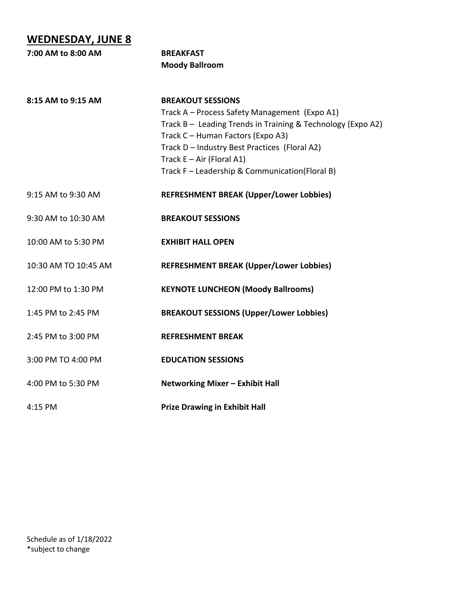## **WEDNESDAY, JUNE 8**

| 7:00 AM to 8:00 AM   | <b>BREAKFAST</b>                                                                                 |  |
|----------------------|--------------------------------------------------------------------------------------------------|--|
|                      | <b>Moody Ballroom</b>                                                                            |  |
| 8:15 AM to 9:15 AM   | <b>BREAKOUT SESSIONS</b>                                                                         |  |
|                      | Track A - Process Safety Management (Expo A1)                                                    |  |
|                      | Track B - Leading Trends in Training & Technology (Expo A2)<br>Track C - Human Factors (Expo A3) |  |
|                      | Track D - Industry Best Practices (Floral A2)                                                    |  |
|                      | Track $E - Air$ (Floral A1)                                                                      |  |
|                      | Track F - Leadership & Communication(Floral B)                                                   |  |
| 9:15 AM to 9:30 AM   | <b>REFRESHMENT BREAK (Upper/Lower Lobbies)</b>                                                   |  |
| 9:30 AM to 10:30 AM  | <b>BREAKOUT SESSIONS</b>                                                                         |  |
| 10:00 AM to 5:30 PM  | <b>EXHIBIT HALL OPEN</b>                                                                         |  |
| 10:30 AM TO 10:45 AM | <b>REFRESHMENT BREAK (Upper/Lower Lobbies)</b>                                                   |  |
| 12:00 PM to 1:30 PM  | <b>KEYNOTE LUNCHEON (Moody Ballrooms)</b>                                                        |  |
| 1:45 PM to 2:45 PM   | <b>BREAKOUT SESSIONS (Upper/Lower Lobbies)</b>                                                   |  |
| 2:45 PM to 3:00 PM   | <b>REFRESHMENT BREAK</b>                                                                         |  |
| 3:00 PM TO 4:00 PM   | <b>EDUCATION SESSIONS</b>                                                                        |  |
| 4:00 PM to 5:30 PM   | Networking Mixer - Exhibit Hall                                                                  |  |
| 4:15 PM              | <b>Prize Drawing in Exhibit Hall</b>                                                             |  |